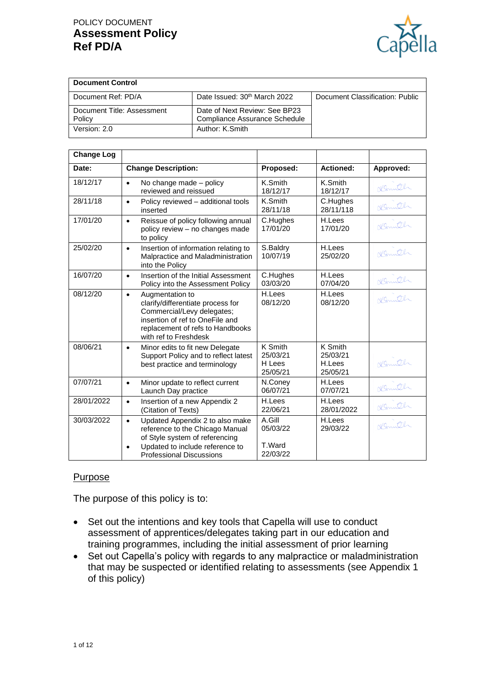

| <b>Document Control</b>              |                                                                |                                 |
|--------------------------------------|----------------------------------------------------------------|---------------------------------|
| Document Ref: PD/A                   | Date Issued: 30 <sup>th</sup> March 2022                       | Document Classification: Public |
| Document Title: Assessment<br>Policy | Date of Next Review: See BP23<br>Compliance Assurance Schedule |                                 |
| Version: 2.0                         | Author: K.Smith                                                |                                 |

| <b>Change Log</b> |                                                                                                                                                                                                      |                                           |                                           |           |
|-------------------|------------------------------------------------------------------------------------------------------------------------------------------------------------------------------------------------------|-------------------------------------------|-------------------------------------------|-----------|
| Date:             | <b>Change Description:</b>                                                                                                                                                                           | Proposed:                                 | <b>Actioned:</b>                          | Approved: |
| 18/12/17          | No change made - policy<br>$\bullet$<br>reviewed and reissued                                                                                                                                        | K.Smith<br>18/12/17                       | K.Smith<br>18/12/17                       | Komth     |
| 28/11/18          | Policy reviewed - additional tools<br>$\bullet$<br>inserted                                                                                                                                          | K.Smith<br>28/11/18                       | C.Hughes<br>28/11/118                     | Komith    |
| 17/01/20          | Reissue of policy following annual<br>$\bullet$<br>policy review - no changes made<br>to policy                                                                                                      | C.Hughes<br>17/01/20                      | H.Lees<br>17/01/20                        | Kennth    |
| 25/02/20          | Insertion of information relating to<br>$\bullet$<br>Malpractice and Maladministration<br>into the Policy                                                                                            | S.Baldry<br>10/07/19                      | H.Lees<br>25/02/20                        | Komth     |
| 16/07/20          | Insertion of the Initial Assessment<br>$\bullet$<br>Policy into the Assessment Policy                                                                                                                | C.Hughes<br>03/03/20                      | H.Lees<br>07/04/20                        | Nomith    |
| 08/12/20          | Augmentation to<br>$\bullet$<br>clarify/differentiate process for<br>Commercial/Levy delegates;<br>insertion of ref to OneFile and<br>replacement of refs to Handbooks<br>with ref to Freshdesk      | H.Lees<br>08/12/20                        | H.Lees<br>08/12/20                        |           |
| 08/06/21          | Minor edits to fit new Delegate<br>$\bullet$<br>Support Policy and to reflect latest<br>best practice and terminology                                                                                | K Smith<br>25/03/21<br>H Lees<br>25/05/21 | K Smith<br>25/03/21<br>H.Lees<br>25/05/21 | Nemith    |
| 07/07/21          | Minor update to reflect current<br>$\bullet$<br>Launch Day practice                                                                                                                                  | N.Coney<br>06/07/21                       | H.Lees<br>07/07/21                        | Komth     |
| 28/01/2022        | Insertion of a new Appendix 2<br>$\bullet$<br>(Citation of Texts)                                                                                                                                    | H.Lees<br>22/06/21                        | H.Lees<br>28/01/2022                      | Komth     |
| 30/03/2022        | Updated Appendix 2 to also make<br>$\bullet$<br>reference to the Chicago Manual<br>of Style system of referencing<br>Updated to include reference to<br>$\bullet$<br><b>Professional Discussions</b> | A.Gill<br>05/03/22<br>T.Ward<br>22/03/22  | H.Lees<br>29/03/22                        | Kenneth   |

#### Purpose

The purpose of this policy is to:

- Set out the intentions and key tools that Capella will use to conduct assessment of apprentices/delegates taking part in our education and training programmes, including the initial assessment of prior learning
- Set out Capella's policy with regards to any malpractice or maladministration that may be suspected or identified relating to assessments (see Appendix 1 of this policy)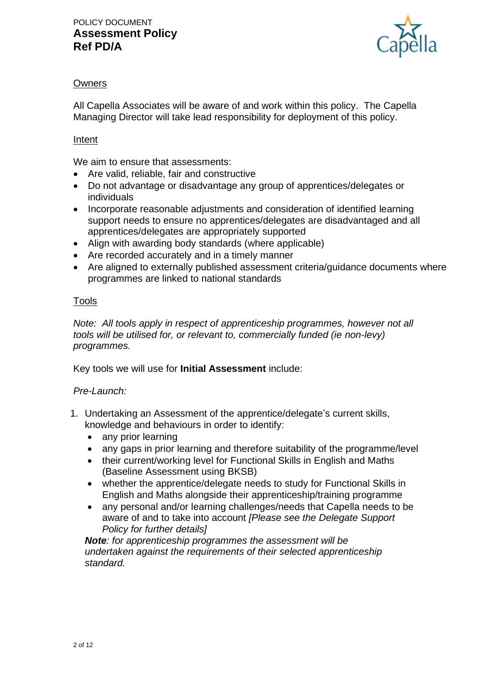

# **Owners**

All Capella Associates will be aware of and work within this policy. The Capella Managing Director will take lead responsibility for deployment of this policy.

### Intent

We aim to ensure that assessments:

- Are valid, reliable, fair and constructive
- Do not advantage or disadvantage any group of apprentices/delegates or individuals
- Incorporate reasonable adjustments and consideration of identified learning support needs to ensure no apprentices/delegates are disadvantaged and all apprentices/delegates are appropriately supported
- Align with awarding body standards (where applicable)
- Are recorded accurately and in a timely manner
- Are aligned to externally published assessment criteria/guidance documents where programmes are linked to national standards

### Tools

*Note: All tools apply in respect of apprenticeship programmes, however not all tools will be utilised for, or relevant to, commercially funded (ie non-levy) programmes.*

Key tools we will use for **Initial Assessment** include:

### *Pre-Launch:*

- 1. Undertaking an Assessment of the apprentice/delegate's current skills, knowledge and behaviours in order to identify:
	- any prior learning
	- any gaps in prior learning and therefore suitability of the programme/level
	- their current/working level for Functional Skills in English and Maths (Baseline Assessment using BKSB)
	- whether the apprentice/delegate needs to study for Functional Skills in English and Maths alongside their apprenticeship/training programme
	- any personal and/or learning challenges/needs that Capella needs to be aware of and to take into account *[Please see the Delegate Support Policy for further details]*

*Note: for apprenticeship programmes the assessment will be undertaken against the requirements of their selected apprenticeship standard.*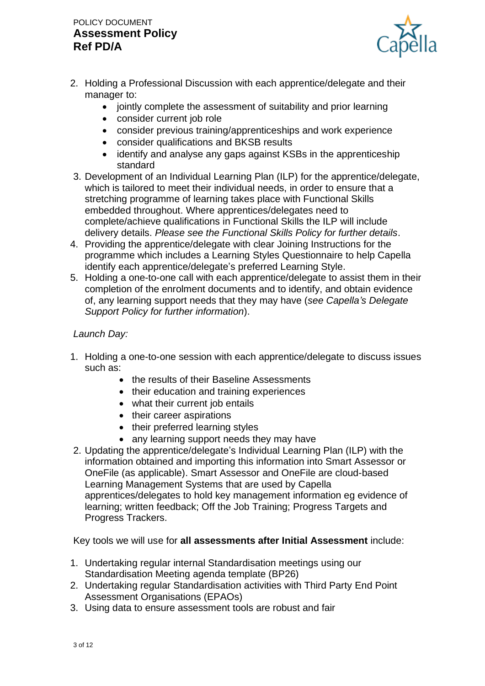# POLICY DOCUMENT **Assessment Policy Ref PD/A**



- 2. Holding a Professional Discussion with each apprentice/delegate and their manager to:
	- jointly complete the assessment of suitability and prior learning
	- consider current job role
	- consider previous training/apprenticeships and work experience
	- consider qualifications and BKSB results
	- identify and analyse any gaps against KSBs in the apprenticeship standard
- 3. Development of an Individual Learning Plan (ILP) for the apprentice/delegate, which is tailored to meet their individual needs, in order to ensure that a stretching programme of learning takes place with Functional Skills embedded throughout. Where apprentices/delegates need to complete/achieve qualifications in Functional Skills the ILP will include delivery details. *Please see the Functional Skills Policy for further details*.
- 4. Providing the apprentice/delegate with clear Joining Instructions for the programme which includes a Learning Styles Questionnaire to help Capella identify each apprentice/delegate's preferred Learning Style.
- 5. Holding a one-to-one call with each apprentice/delegate to assist them in their completion of the enrolment documents and to identify, and obtain evidence of, any learning support needs that they may have (*see Capella's Delegate Support Policy for further information*).

# *Launch Day:*

- 1. Holding a one-to-one session with each apprentice/delegate to discuss issues such as:
	- the results of their Baseline Assessments
	- their education and training experiences
	- what their current job entails
	- their career aspirations
	- their preferred learning styles
	- any learning support needs they may have
- 2. Updating the apprentice/delegate's Individual Learning Plan (ILP) with the information obtained and importing this information into Smart Assessor or OneFile (as applicable). Smart Assessor and OneFile are cloud-based Learning Management Systems that are used by Capella apprentices/delegates to hold key management information eg evidence of learning; written feedback; Off the Job Training; Progress Targets and Progress Trackers.

Key tools we will use for **all assessments after Initial Assessment** include:

- 1. Undertaking regular internal Standardisation meetings using our Standardisation Meeting agenda template (BP26)
- 2. Undertaking regular Standardisation activities with Third Party End Point Assessment Organisations (EPAOs)
- 3. Using data to ensure assessment tools are robust and fair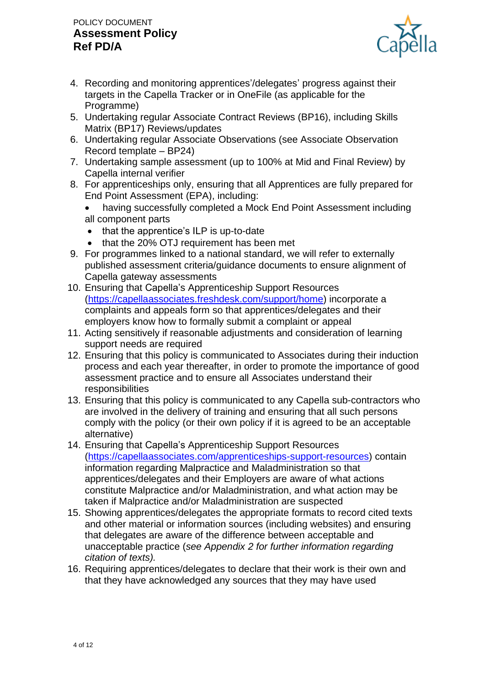# POLICY DOCUMENT **Assessment Policy Ref PD/A**



- 4. Recording and monitoring apprentices'/delegates' progress against their targets in the Capella Tracker or in OneFile (as applicable for the Programme)
- 5. Undertaking regular Associate Contract Reviews (BP16), including Skills Matrix (BP17) Reviews/updates
- 6. Undertaking regular Associate Observations (see Associate Observation Record template – BP24)
- 7. Undertaking sample assessment (up to 100% at Mid and Final Review) by Capella internal verifier
- 8. For apprenticeships only, ensuring that all Apprentices are fully prepared for End Point Assessment (EPA), including:
	- having successfully completed a Mock End Point Assessment including all component parts
	- that the apprentice's ILP is up-to-date
	- that the 20% OTJ requirement has been met
- 9. For programmes linked to a national standard, we will refer to externally published assessment criteria/guidance documents to ensure alignment of Capella gateway assessments
- 10. Ensuring that Capella's Apprenticeship Support Resources [\(https://capellaassociates.freshdesk.com/support/home\)](https://capellaassociates.freshdesk.com/support/home) incorporate a complaints and appeals form so that apprentices/delegates and their employers know how to formally submit a complaint or appeal
- 11. Acting sensitively if reasonable adjustments and consideration of learning support needs are required
- 12. Ensuring that this policy is communicated to Associates during their induction process and each year thereafter, in order to promote the importance of good assessment practice and to ensure all Associates understand their responsibilities
- 13. Ensuring that this policy is communicated to any Capella sub-contractors who are involved in the delivery of training and ensuring that all such persons comply with the policy (or their own policy if it is agreed to be an acceptable alternative)
- 14. Ensuring that Capella's Apprenticeship Support Resources [\(https://capellaassociates.com/apprenticeships-support-resources\)](https://capellaassociates.com/apprenticeships-support-resources) contain information regarding Malpractice and Maladministration so that apprentices/delegates and their Employers are aware of what actions constitute Malpractice and/or Maladministration, and what action may be taken if Malpractice and/or Maladministration are suspected
- 15. Showing apprentices/delegates the appropriate formats to record cited texts and other material or information sources (including websites) and ensuring that delegates are aware of the difference between acceptable and unacceptable practice (*see Appendix 2 for further information regarding citation of texts).*
- 16. Requiring apprentices/delegates to declare that their work is their own and that they have acknowledged any sources that they may have used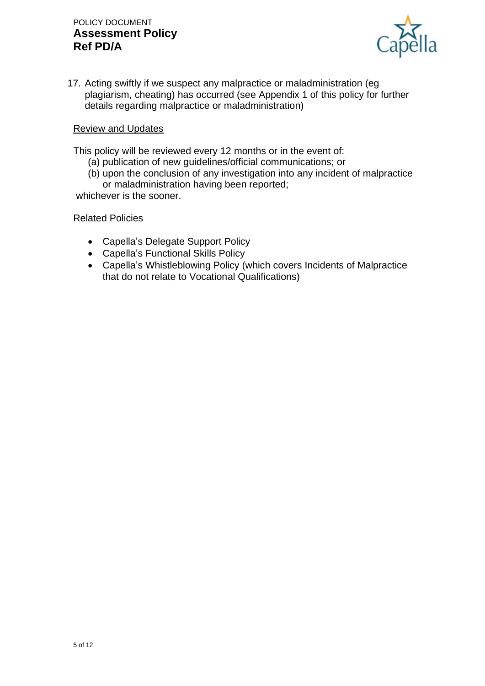

17. Acting swiftly if we suspect any malpractice or maladministration (eg plagiarism, cheating) has occurred (see Appendix 1 of this policy for further details regarding malpractice or maladministration)

#### Review and Updates

This policy will be reviewed every 12 months or in the event of:

- (a) publication of new guidelines/official communications; or
- (b) upon the conclusion of any investigation into any incident of malpractice or maladministration having been reported;

whichever is the sooner.

#### Related Policies

- Capella's Delegate Support Policy
- Capella's Functional Skills Policy
- Capella's Whistleblowing Policy (which covers Incidents of Malpractice that do not relate to Vocational Qualifications)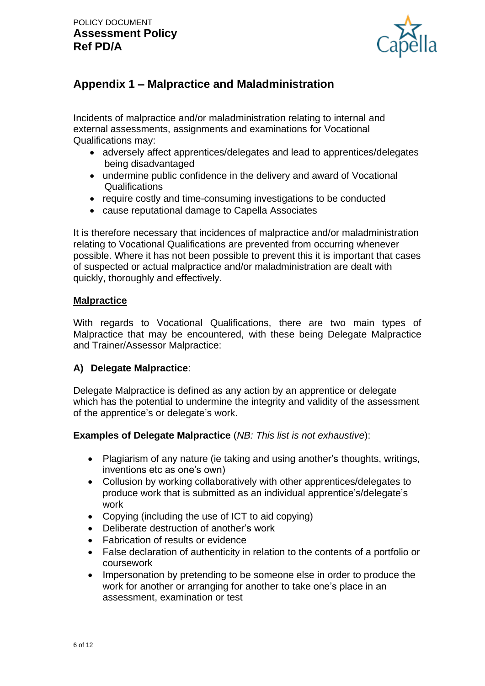

# **Appendix 1 – Malpractice and Maladministration**

Incidents of malpractice and/or maladministration relating to internal and external assessments, assignments and examinations for Vocational Qualifications may:

- adversely affect apprentices/delegates and lead to apprentices/delegates being disadvantaged
- undermine public confidence in the delivery and award of Vocational **Qualifications**
- require costly and time-consuming investigations to be conducted
- cause reputational damage to Capella Associates

It is therefore necessary that incidences of malpractice and/or maladministration relating to Vocational Qualifications are prevented from occurring whenever possible. Where it has not been possible to prevent this it is important that cases of suspected or actual malpractice and/or maladministration are dealt with quickly, thoroughly and effectively.

### **Malpractice**

With regards to Vocational Qualifications, there are two main types of Malpractice that may be encountered, with these being Delegate Malpractice and Trainer/Assessor Malpractice:

### **A) Delegate Malpractice**:

Delegate Malpractice is defined as any action by an apprentice or delegate which has the potential to undermine the integrity and validity of the assessment of the apprentice's or delegate's work.

**Examples of Delegate Malpractice** (*NB: This list is not exhaustive*):

- Plagiarism of any nature (ie taking and using another's thoughts, writings, inventions etc as one's own)
- Collusion by working collaboratively with other apprentices/delegates to produce work that is submitted as an individual apprentice's/delegate's work
- Copying (including the use of ICT to aid copying)
- Deliberate destruction of another's work
- Fabrication of results or evidence
- False declaration of authenticity in relation to the contents of a portfolio or coursework
- Impersonation by pretending to be someone else in order to produce the work for another or arranging for another to take one's place in an assessment, examination or test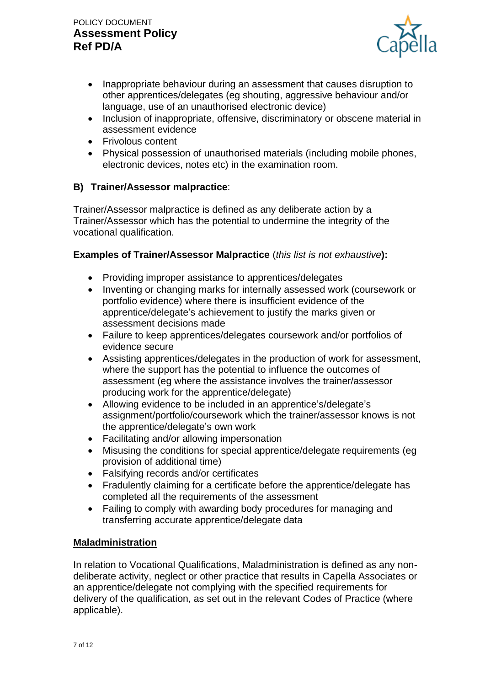

- Inappropriate behaviour during an assessment that causes disruption to other apprentices/delegates (eg shouting, aggressive behaviour and/or language, use of an unauthorised electronic device)
- Inclusion of inappropriate, offensive, discriminatory or obscene material in assessment evidence
- Frivolous content
- Physical possession of unauthorised materials (including mobile phones, electronic devices, notes etc) in the examination room.

# **B) Trainer/Assessor malpractice**:

Trainer/Assessor malpractice is defined as any deliberate action by a Trainer/Assessor which has the potential to undermine the integrity of the vocational qualification.

### **Examples of Trainer/Assessor Malpractice** (*this list is not exhaustive***):**

- Providing improper assistance to apprentices/delegates
- Inventing or changing marks for internally assessed work (coursework or portfolio evidence) where there is insufficient evidence of the apprentice/delegate's achievement to justify the marks given or assessment decisions made
- Failure to keep apprentices/delegates coursework and/or portfolios of evidence secure
- Assisting apprentices/delegates in the production of work for assessment, where the support has the potential to influence the outcomes of assessment (eg where the assistance involves the trainer/assessor producing work for the apprentice/delegate)
- Allowing evidence to be included in an apprentice's/delegate's assignment/portfolio/coursework which the trainer/assessor knows is not the apprentice/delegate's own work
- Facilitating and/or allowing impersonation
- Misusing the conditions for special apprentice/delegate requirements (eg provision of additional time)
- Falsifying records and/or certificates
- Fradulently claiming for a certificate before the apprentice/delegate has completed all the requirements of the assessment
- Failing to comply with awarding body procedures for managing and transferring accurate apprentice/delegate data

### **Maladministration**

In relation to Vocational Qualifications, Maladministration is defined as any nondeliberate activity, neglect or other practice that results in Capella Associates or an apprentice/delegate not complying with the specified requirements for delivery of the qualification, as set out in the relevant Codes of Practice (where applicable).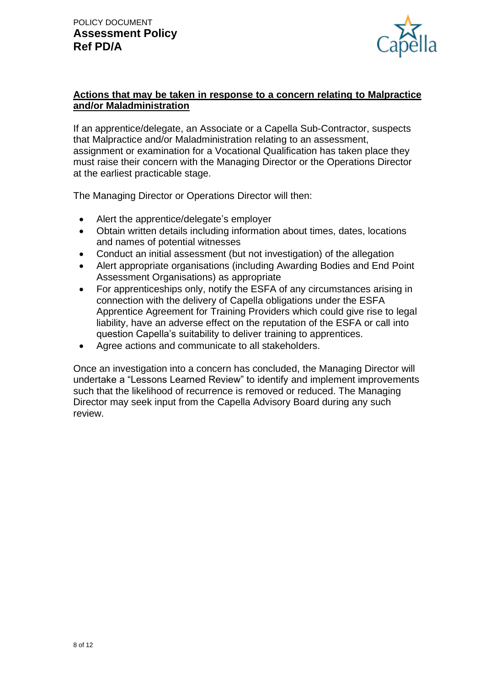

# **Actions that may be taken in response to a concern relating to Malpractice and/or Maladministration**

If an apprentice/delegate, an Associate or a Capella Sub-Contractor, suspects that Malpractice and/or Maladministration relating to an assessment, assignment or examination for a Vocational Qualification has taken place they must raise their concern with the Managing Director or the Operations Director at the earliest practicable stage.

The Managing Director or Operations Director will then:

- Alert the apprentice/delegate's employer
- Obtain written details including information about times, dates, locations and names of potential witnesses
- Conduct an initial assessment (but not investigation) of the allegation
- Alert appropriate organisations (including Awarding Bodies and End Point Assessment Organisations) as appropriate
- For apprenticeships only, notify the ESFA of any circumstances arising in connection with the delivery of Capella obligations under the ESFA Apprentice Agreement for Training Providers which could give rise to legal liability, have an adverse effect on the reputation of the ESFA or call into question Capella's suitability to deliver training to apprentices.
- Agree actions and communicate to all stakeholders.

Once an investigation into a concern has concluded, the Managing Director will undertake a "Lessons Learned Review" to identify and implement improvements such that the likelihood of recurrence is removed or reduced. The Managing Director may seek input from the Capella Advisory Board during any such review.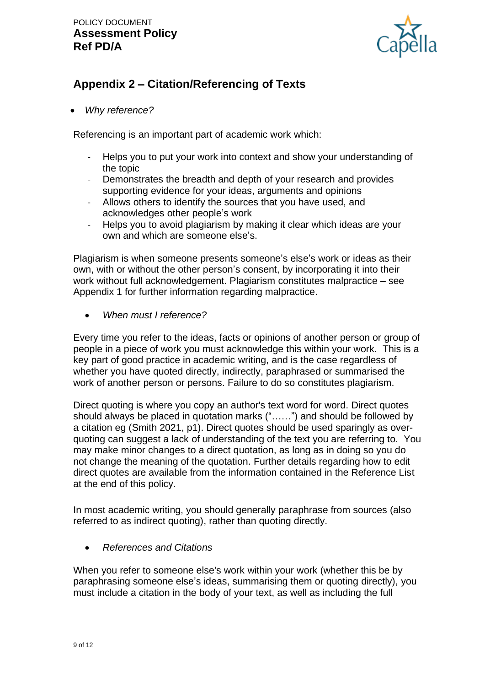

# **Appendix 2 – Citation/Referencing of Texts**

• *Why reference?*

Referencing is an important part of academic work which:

- Helps you to put your work into context and show your understanding of the topic
- Demonstrates the breadth and depth of your research and provides supporting evidence for your ideas, arguments and opinions
- Allows others to identify the sources that you have used, and acknowledges other people's work
- Helps you to avoid plagiarism by making it clear which ideas are your own and which are someone else's.

Plagiarism is when someone presents someone's else's work or ideas as their own, with or without the other person's consent, by incorporating it into their work without full acknowledgement. Plagiarism constitutes malpractice – see Appendix 1 for further information regarding malpractice.

• *When must I reference?*

Every time you refer to the ideas, facts or opinions of another person or group of people in a piece of work you must acknowledge this within your work. This is a key part of good practice in academic writing, and is the case regardless of whether you have quoted directly, indirectly, paraphrased or summarised the work of another person or persons. Failure to do so constitutes plagiarism.

Direct quoting is where you copy an author's text word for word. Direct quotes should always be placed in quotation marks ("……") and should be followed by a citation eg (Smith 2021, p1). Direct quotes should be used sparingly as overquoting can suggest a lack of understanding of the text you are referring to. You may make minor changes to a direct quotation, as long as in doing so you do not change the meaning of the quotation. Further details regarding how to edit direct quotes are available from the information contained in the Reference List at the end of this policy.

In most academic writing, you should generally paraphrase from sources (also referred to as indirect quoting), rather than quoting directly.

• *References and Citations*

When you refer to someone else's work within your work (whether this be by paraphrasing someone else's ideas, summarising them or quoting directly), you must include a citation in the body of your text, as well as including the full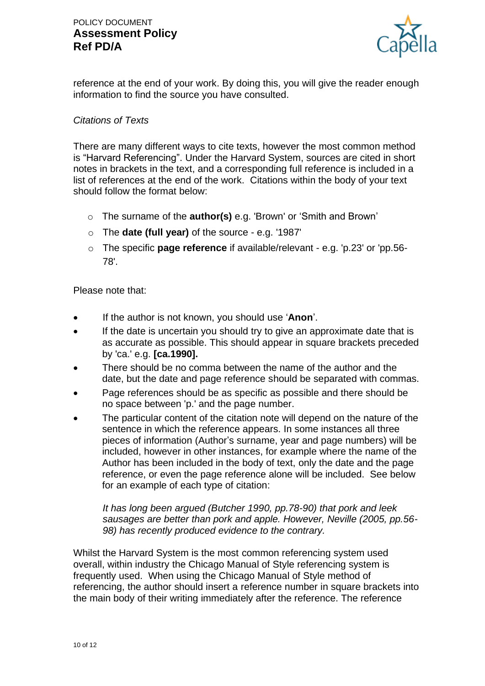

reference at the end of your work. By doing this, you will give the reader enough information to find the source you have consulted.

#### *Citations of Texts*

There are many different ways to cite texts, however the most common method is "Harvard Referencing". Under the Harvard System, sources are cited in short notes in brackets in the text, and a corresponding full reference is included in a list of references at the end of the work. Citations within the body of your text should follow the format below:

- o The surname of the **author(s)** e.g. 'Brown' or 'Smith and Brown'
- o The **date (full year)** of the source e.g. '1987'
- o The specific **page reference** if available/relevant e.g. 'p.23' or 'pp.56- 78'.

Please note that:

- If the author is not known, you should use '**Anon**'.
- If the date is uncertain you should try to give an approximate date that is as accurate as possible. This should appear in square brackets preceded by 'ca.' e.g. **[ca.1990].**
- There should be no comma between the name of the author and the date, but the date and page reference should be separated with commas.
- Page references should be as specific as possible and there should be no space between 'p.' and the page number.
- The particular content of the citation note will depend on the nature of the sentence in which the reference appears. In some instances all three pieces of information (Author's surname, year and page numbers) will be included, however in other instances, for example where the name of the Author has been included in the body of text, only the date and the page reference, or even the page reference alone will be included. See below for an example of each type of citation:

*It has long been argued (Butcher 1990, pp.78-90) that pork and leek sausages are better than pork and apple. However, Neville (2005, pp.56- 98) has recently produced evidence to the contrary.*

Whilst the Harvard System is the most common referencing system used overall, within industry the Chicago Manual of Style referencing system is frequently used. When using the Chicago Manual of Style method of referencing, the author should insert a reference number in square brackets into the main body of their writing immediately after the reference. The reference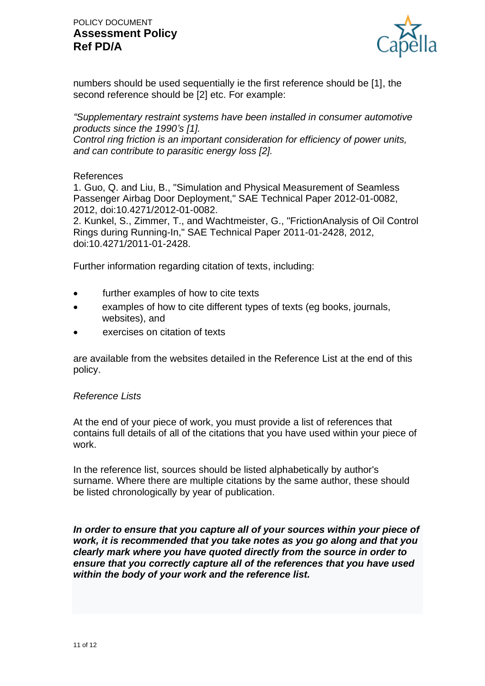

numbers should be used sequentially ie the first reference should be [1], the second reference should be [2] etc. For example:

*"Supplementary restraint systems have been installed in consumer automotive products since the 1990's [1].*

*Control ring friction is an important consideration for efficiency of power units, and can contribute to parasitic energy loss [2].*

#### References

1. Guo, Q. and Liu, B., "Simulation and Physical Measurement of Seamless Passenger Airbag Door Deployment," SAE Technical Paper 2012-01-0082, 2012, doi:10.4271/2012-01-0082.

2. Kunkel, S., Zimmer, T., and Wachtmeister, G., "FrictionAnalysis of Oil Control Rings during Running-In," SAE Technical Paper 2011-01-2428, 2012, doi:10.4271/2011-01-2428.

Further information regarding citation of texts, including:

- further examples of how to cite texts
- examples of how to cite different types of texts (eg books, journals, websites), and
- exercises on citation of texts

are available from the websites detailed in the Reference List at the end of this policy.

#### *Reference Lists*

At the end of your piece of work, you must provide a list of references that contains full details of all of the citations that you have used within your piece of work.

In the reference list, sources should be listed alphabetically by author's surname. Where there are multiple citations by the same author, these should be listed chronologically by year of publication.

*In order to ensure that you capture all of your sources within your piece of work, it is recommended that you take notes as you go along and that you clearly mark where you have quoted directly from the source in order to ensure that you correctly capture all of the references that you have used within the body of your work and the reference list.*